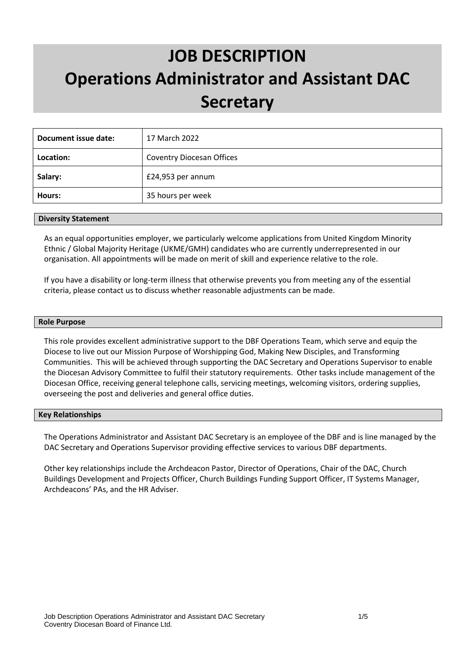# **JOB DESCRIPTION Operations Administrator and Assistant DAC Secretary**

| Document issue date: | 17 March 2022                    |
|----------------------|----------------------------------|
| Location:            | <b>Coventry Diocesan Offices</b> |
| Salary:              | £24,953 per annum                |
| Hours:               | 35 hours per week                |

#### **Diversity Statement**

As an equal opportunities employer, we particularly welcome applications from United Kingdom Minority Ethnic / Global Majority Heritage (UKME/GMH) candidates who are currently underrepresented in our organisation. All appointments will be made on merit of skill and experience relative to the role.

If you have a disability or long-term illness that otherwise prevents you from meeting any of the essential criteria, please contact us to discuss whether reasonable adjustments can be made.

#### **Role Purpose**

This role provides excellent administrative support to the DBF Operations Team, which serve and equip the Diocese to live out our Mission Purpose of Worshipping God, Making New Disciples, and Transforming Communities. This will be achieved through supporting the DAC Secretary and Operations Supervisor to enable the Diocesan Advisory Committee to fulfil their statutory requirements. Other tasks include management of the Diocesan Office, receiving general telephone calls, servicing meetings, welcoming visitors, ordering supplies, overseeing the post and deliveries and general office duties.

#### **Key Relationships**

The Operations Administrator and Assistant DAC Secretary is an employee of the DBF and is line managed by the DAC Secretary and Operations Supervisor providing effective services to various DBF departments.

Other key relationships include the Archdeacon Pastor, Director of Operations, Chair of the DAC, Church Buildings Development and Projects Officer, Church Buildings Funding Support Officer, IT Systems Manager, Archdeacons' PAs, and the HR Adviser.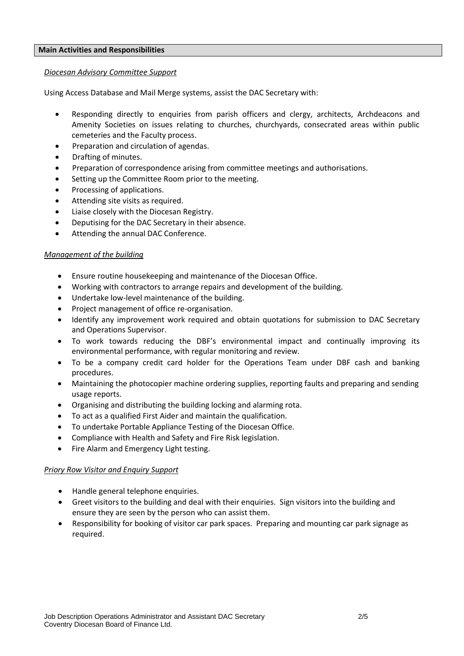#### **Main Activities and Responsibilities**

#### *Diocesan Advisory Committee Support*

Using Access Database and Mail Merge systems, assist the DAC Secretary with:

- Responding directly to enquiries from parish officers and clergy, architects, Archdeacons and Amenity Societies on issues relating to churches, churchyards, consecrated areas within public cemeteries and the Faculty process.
- Preparation and circulation of agendas.
- Drafting of minutes.
- Preparation of correspondence arising from committee meetings and authorisations.
- Setting up the Committee Room prior to the meeting.
- Processing of applications.
- Attending site visits as required.
- Liaise closely with the Diocesan Registry.
- Deputising for the DAC Secretary in their absence.
- Attending the annual DAC Conference.

#### *Management of the building*

- Ensure routine housekeeping and maintenance of the Diocesan Office.
- Working with contractors to arrange repairs and development of the building.
- Undertake low-level maintenance of the building.
- Project management of office re-organisation.
- Identify any improvement work required and obtain quotations for submission to DAC Secretary and Operations Supervisor.
- To work towards reducing the DBF's environmental impact and continually improving its environmental performance, with regular monitoring and review.
- To be a company credit card holder for the Operations Team under DBF cash and banking procedures.
- Maintaining the photocopier machine ordering supplies, reporting faults and preparing and sending usage reports.
- Organising and distributing the building locking and alarming rota.
- To act as a qualified First Aider and maintain the qualification.
- To undertake Portable Appliance Testing of the Diocesan Office.
- Compliance with Health and Safety and Fire Risk legislation.
- Fire Alarm and Emergency Light testing.

## *Priory Row Visitor and Enquiry Support*

- Handle general telephone enquiries.
- Greet visitors to the building and deal with their enquiries. Sign visitors into the building and ensure they are seen by the person who can assist them.
- Responsibility for booking of visitor car park spaces. Preparing and mounting car park signage as required.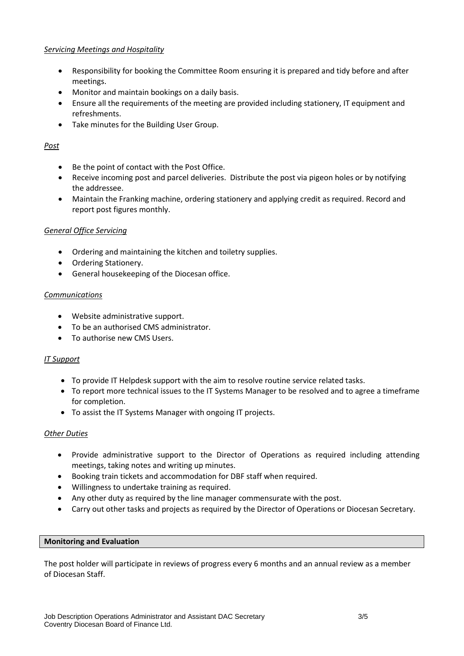## *Servicing Meetings and Hospitality*

- Responsibility for booking the Committee Room ensuring it is prepared and tidy before and after meetings.
- Monitor and maintain bookings on a daily basis.
- Ensure all the requirements of the meeting are provided including stationery, IT equipment and refreshments.
- Take minutes for the Building User Group.

# *Post*

- Be the point of contact with the Post Office.
- Receive incoming post and parcel deliveries. Distribute the post via pigeon holes or by notifying the addressee.
- Maintain the Franking machine, ordering stationery and applying credit as required. Record and report post figures monthly.

# *General Office Servicing*

- Ordering and maintaining the kitchen and toiletry supplies.
- Ordering Stationery.
- General housekeeping of the Diocesan office.

# *Communications*

- Website administrative support.
- To be an authorised CMS administrator.
- To authorise new CMS Users.

# *IT Support*

- To provide IT Helpdesk support with the aim to resolve routine service related tasks.
- To report more technical issues to the IT Systems Manager to be resolved and to agree a timeframe for completion.
- To assist the IT Systems Manager with ongoing IT projects.

## *Other Duties*

- Provide administrative support to the Director of Operations as required including attending meetings, taking notes and writing up minutes.
- Booking train tickets and accommodation for DBF staff when required.
- Willingness to undertake training as required.
- Any other duty as required by the line manager commensurate with the post.
- Carry out other tasks and projects as required by the Director of Operations or Diocesan Secretary.

## **Monitoring and Evaluation**

The post holder will participate in reviews of progress every 6 months and an annual review as a member of Diocesan Staff.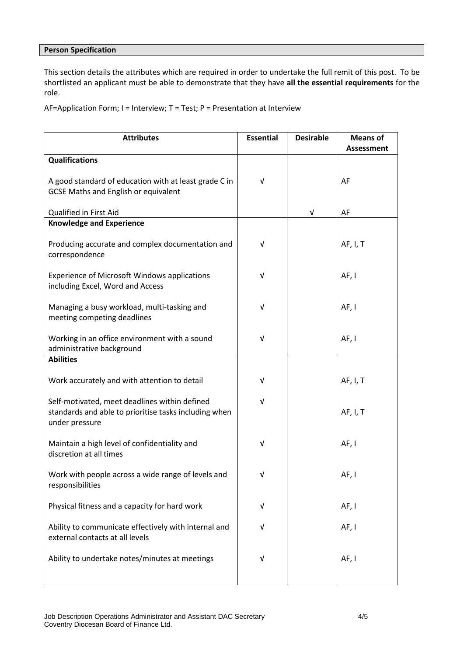## **Person Specification**

This section details the attributes which are required in order to undertake the full remit of this post. To be shortlisted an applicant must be able to demonstrate that they have **all the essential requirements** for the role.

AF=Application Form; I = Interview; T = Test; P = Presentation at Interview

| <b>Attributes</b>                                                                                                        | <b>Essential</b> | <b>Desirable</b> | <b>Means of</b><br><b>Assessment</b> |
|--------------------------------------------------------------------------------------------------------------------------|------------------|------------------|--------------------------------------|
| <b>Qualifications</b>                                                                                                    |                  |                  |                                      |
| A good standard of education with at least grade C in<br><b>GCSE Maths and English or equivalent</b>                     | $\sqrt{ }$       |                  | AF                                   |
| Qualified in First Aid                                                                                                   |                  | V                | AF                                   |
| <b>Knowledge and Experience</b>                                                                                          |                  |                  |                                      |
| Producing accurate and complex documentation and<br>correspondence                                                       | $\sqrt{ }$       |                  | AF, I, T                             |
| <b>Experience of Microsoft Windows applications</b><br>including Excel, Word and Access                                  | v                |                  | AF, I                                |
| Managing a busy workload, multi-tasking and<br>meeting competing deadlines                                               | V                |                  | AF, I                                |
| Working in an office environment with a sound<br>administrative background                                               | V                |                  | AF, I                                |
| <b>Abilities</b>                                                                                                         |                  |                  |                                      |
| Work accurately and with attention to detail                                                                             | $\sqrt{ }$       |                  | AF, I, T                             |
| Self-motivated, meet deadlines within defined<br>standards and able to prioritise tasks including when<br>under pressure | v                |                  | AF, I, T                             |
| Maintain a high level of confidentiality and<br>discretion at all times                                                  | V                |                  | AF, I                                |
| Work with people across a wide range of levels and<br>responsibilities                                                   | V                |                  | AF, I                                |
| Physical fitness and a capacity for hard work                                                                            | V                |                  | AF, I                                |
| Ability to communicate effectively with internal and<br>external contacts at all levels                                  | v                |                  | AF, I                                |
| Ability to undertake notes/minutes at meetings                                                                           | v                |                  | AF, I                                |